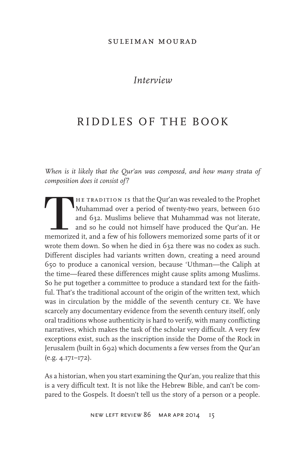## *Interview*

# RIDDLES OF THE BOOK

*When is it likely that the Qur'an was composed, and how many strata of composition does it consist of?*

THE TRADITION IS that the Qur'an was revealed to the Prophet Muhammad over a period of twenty-two years, between 610 and 632. Muslims believe that Muhammad was not literate, and so he could not himself have produced the Qu Muhammad over a period of twenty-two years, between 610 and 632. Muslims believe that Muhammad was not literate, and so he could not himself have produced the Qur'an. He memorized it, and a few of his followers memorized some parts of it or wrote them down. So when he died in 632 there was no codex as such. Different disciples had variants written down, creating a need around 650 to produce a canonical version, because 'Uthman—the Caliph at the time—feared these differences might cause splits among Muslims. So he put together a committee to produce a standard text for the faithful. That's the traditional account of the origin of the written text, which was in circulation by the middle of the seventh century ce. We have scarcely any documentary evidence from the seventh century itself, only oral traditions whose authenticity is hard to verify, with many conflicting narratives, which makes the task of the scholar very difficult. A very few exceptions exist, such as the inscription inside the Dome of the Rock in Jerusalem (built in 692) which documents a few verses from the Qur'an (e.g. 4.171–172).

As a historian, when you start examining the Qur'an, you realize that this is a very difficult text. It is not like the Hebrew Bible, and can't be compared to the Gospels. It doesn't tell us the story of a person or a people.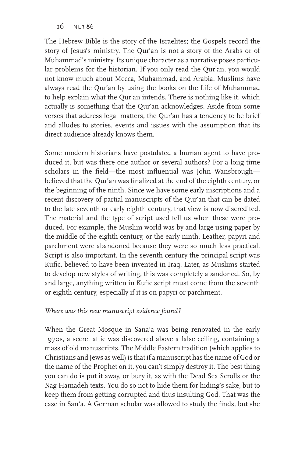The Hebrew Bible is the story of the Israelites; the Gospels record the story of Jesus's ministry. The Qur'an is not a story of the Arabs or of Muhammad's ministry. Its unique character as a narrative poses particular problems for the historian. If you only read the Qur'an, you would not know much about Mecca, Muhammad, and Arabia. Muslims have always read the Qur'an by using the books on the Life of Muhammad to help explain what the Qur'an intends. There is nothing like it, which actually is something that the Qur'an acknowledges. Aside from some verses that address legal matters, the Qur'an has a tendency to be brief and alludes to stories, events and issues with the assumption that its direct audience already knows them.

Some modern historians have postulated a human agent to have produced it, but was there one author or several authors? For a long time scholars in the field—the most influential was John Wansbrough believed that the Qur'an was finalized at the end of the eighth century, or the beginning of the ninth. Since we have some early inscriptions and a recent discovery of partial manuscripts of the Qur'an that can be dated to the late seventh or early eighth century, that view is now discredited. The material and the type of script used tell us when these were produced. For example, the Muslim world was by and large using paper by the middle of the eighth century, or the early ninth. Leather, papyri and parchment were abandoned because they were so much less practical. Script is also important. In the seventh century the principal script was Kufic, believed to have been invented in Iraq. Later, as Muslims started to develop new styles of writing, this was completely abandoned. So, by and large, anything written in Kufic script must come from the seventh or eighth century, especially if it is on papyri or parchment.

#### *Where was this new manuscript evidence found?*

When the Great Mosque in Sana'a was being renovated in the early 1970s, a secret attic was discovered above a false ceiling, containing a mass of old manuscripts. The Middle Eastern tradition (which applies to Christians and Jews as well) is that if a manuscript has the name of God or the name of the Prophet on it, you can't simply destroy it. The best thing you can do is put it away, or bury it, as with the Dead Sea Scrolls or the Nag Hamadeh texts. You do so not to hide them for hiding's sake, but to keep them from getting corrupted and thus insulting God. That was the case in San'a. A German scholar was allowed to study the finds, but she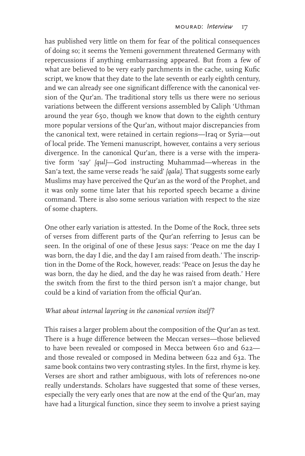has published very little on them for fear of the political consequences of doing so; it seems the Yemeni government threatened Germany with repercussions if anything embarrassing appeared. But from a few of what are believed to be very early parchments in the cache, using Kufic script, we know that they date to the late seventh or early eighth century, and we can already see one significant difference with the canonical version of the Qur'an. The traditional story tells us there were no serious variations between the different versions assembled by Caliph 'Uthman around the year 650, though we know that down to the eighth century more popular versions of the Qur'an, without major discrepancies from the canonical text, were retained in certain regions—Iraq or Syria—out of local pride. The Yemeni manuscript, however, contains a very serious divergence. In the canonical Qur'an, there is a verse with the imperative form 'say' *[qul]*—God instructing Muhammad—whereas in the San'a text, the same verse reads 'he said' *[qala]*. That suggests some early Muslims may have perceived the Qur'an as the word of the Prophet, and it was only some time later that his reported speech became a divine command. There is also some serious variation with respect to the size of some chapters.

One other early variation is attested. In the Dome of the Rock, three sets of verses from different parts of the Qur'an referring to Jesus can be seen. In the original of one of these Jesus says: 'Peace on me the day I was born, the day I die, and the day I am raised from death.' The inscription in the Dome of the Rock, however, reads: 'Peace on Jesus the day he was born, the day he died, and the day he was raised from death.' Here the switch from the first to the third person isn't a major change, but could be a kind of variation from the official Qur'an.

#### *What about internal layering in the canonical version itself?*

This raises a larger problem about the composition of the Qur'an as text. There is a huge difference between the Meccan verses—those believed to have been revealed or composed in Mecca between 610 and 622 and those revealed or composed in Medina between 622 and 632. The same book contains two very contrasting styles. In the first, rhyme is key. Verses are short and rather ambiguous, with lots of references no-one really understands. Scholars have suggested that some of these verses, especially the very early ones that are now at the end of the Qur'an, may have had a liturgical function, since they seem to involve a priest saying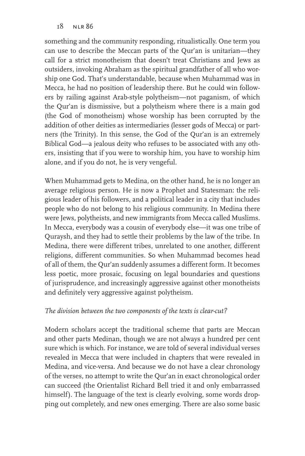something and the community responding, ritualistically. One term you can use to describe the Meccan parts of the Qur'an is unitarian—they call for a strict monotheism that doesn't treat Christians and Jews as outsiders, invoking Abraham as the spiritual grandfather of all who worship one God. That's understandable, because when Muhammad was in Mecca, he had no position of leadership there. But he could win followers by railing against Arab-style polytheism—not paganism, of which the Qur'an is dismissive, but a polytheism where there is a main god (the God of monotheism) whose worship has been corrupted by the addition of other deities as intermediaries (lesser gods of Mecca) or partners (the Trinity). In this sense, the God of the Qur'an is an extremely Biblical God—a jealous deity who refuses to be associated with any others, insisting that if you were to worship him, you have to worship him alone, and if you do not, he is very vengeful.

When Muhammad gets to Medina, on the other hand, he is no longer an average religious person. He is now a Prophet and Statesman: the religious leader of his followers, and a political leader in a city that includes people who do not belong to his religious community. In Medina there were Jews, polytheists, and new immigrants from Mecca called Muslims. In Mecca, everybody was a cousin of everybody else—it was one tribe of Quraysh, and they had to settle their problems by the law of the tribe. In Medina, there were different tribes, unrelated to one another, different religions, different communities. So when Muhammad becomes head of all of them, the Qur'an suddenly assumes a different form. It becomes less poetic, more prosaic, focusing on legal boundaries and questions of jurisprudence, and increasingly aggressive against other monotheists and definitely very aggressive against polytheism.

### *The division between the two components of the texts is clear-cut?*

Modern scholars accept the traditional scheme that parts are Meccan and other parts Medinan, though we are not always a hundred per cent sure which is which. For instance, we are told of several individual verses revealed in Mecca that were included in chapters that were revealed in Medina, and vice-versa. And because we do not have a clear chronology of the verses, no attempt to write the Qur'an in exact chronological order can succeed (the Orientalist Richard Bell tried it and only embarrassed himself). The language of the text is clearly evolving, some words dropping out completely, and new ones emerging. There are also some basic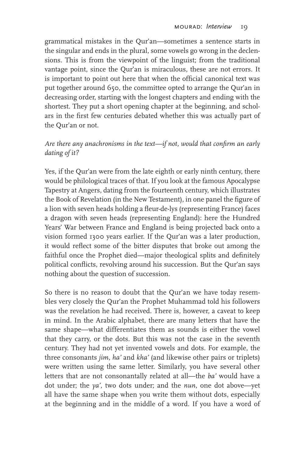grammatical mistakes in the Qur'an—sometimes a sentence starts in the singular and ends in the plural, some vowels go wrong in the declensions. This is from the viewpoint of the linguist; from the traditional vantage point, since the Qur'an is miraculous, these are not errors. It is important to point out here that when the official canonical text was put together around 650, the committee opted to arrange the Qur'an in decreasing order, starting with the longest chapters and ending with the shortest. They put a short opening chapter at the beginning, and scholars in the first few centuries debated whether this was actually part of the Qur'an or not.

# *Are there any anachronisms in the text—if not, would that confirm an early dating of it?*

Yes, if the Qur'an were from the late eighth or early ninth century, there would be philological traces of that. If you look at the famous Apocalypse Tapestry at Angers, dating from the fourteenth century, which illustrates the Book of Revelation (in the New Testament), in one panel the figure of a lion with seven heads holding a fleur-de-lys (representing France) faces a dragon with seven heads (representing England): here the Hundred Years' War between France and England is being projected back onto a vision formed 1300 years earlier. If the Qur'an was a later production, it would reflect some of the bitter disputes that broke out among the faithful once the Prophet died—major theological splits and definitely political conflicts, revolving around his succession. But the Qur'an says nothing about the question of succession.

So there is no reason to doubt that the Qur'an we have today resembles very closely the Qur'an the Prophet Muhammad told his followers was the revelation he had received. There is, however, a caveat to keep in mind. In the Arabic alphabet, there are many letters that have the same shape—what differentiates them as sounds is either the vowel that they carry, or the dots. But this was not the case in the seventh century. They had not yet invented vowels and dots. For example, the three consonants *jim*, *ha'* and *kha'* (and likewise other pairs or triplets) were written using the same letter. Similarly, you have several other letters that are not consonantally related at all—the *ba'* would have a dot under; the *ya'*, two dots under; and the *nun*, one dot above—yet all have the same shape when you write them without dots, especially at the beginning and in the middle of a word. If you have a word of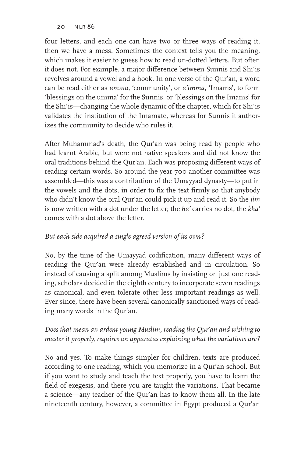four letters, and each one can have two or three ways of reading it, then we have a mess. Sometimes the context tells you the meaning, which makes it easier to guess how to read un-dotted letters. But often it does not. For example, a major difference between Sunnis and Shi'is revolves around a vowel and a hook. In one verse of the Qur'an, a word can be read either as *umma*, 'community', or *a'imma*, 'Imams', to form 'blessings on the umma' for the Sunnis, or 'blessings on the Imams' for the Shi'is—changing the whole dynamic of the chapter*,* which for Shi'is validates the institution of the Imamate, whereas for Sunnis it authorizes the community to decide who rules it.

After Muhammad's death, the Qur'an was being read by people who had learnt Arabic, but were not native speakers and did not know the oral traditions behind the Qur'an. Each was proposing different ways of reading certain words. So around the year 700 another committee was assembled—this was a contribution of the Umayyad dynasty—to put in the vowels and the dots, in order to fix the text firmly so that anybody who didn't know the oral Qur'an could pick it up and read it. So the *jim* is now written with a dot under the letter; the *ha'* carries no dot; the *kha'* comes with a dot above the letter.

#### *But each side acquired a single agreed version of its own?*

No, by the time of the Umayyad codification, many different ways of reading the Qur'an were already established and in circulation. So instead of causing a split among Muslims by insisting on just one reading, scholars decided in the eighth century to incorporate seven readings as canonical, and even tolerate other less important readings as well. Ever since, there have been several canonically sanctioned ways of reading many words in the Qur'an.

# *Does that mean an ardent young Muslim, reading the Qur'an and wishing to master it properly, requires an apparatus explaining what the variations are?*

No and yes. To make things simpler for children, texts are produced according to one reading, which you memorize in a Qur'an school. But if you want to study and teach the text properly, you have to learn the field of exegesis, and there you are taught the variations. That became a science—any teacher of the Qur'an has to know them all. In the late nineteenth century, however, a committee in Egypt produced a Qur'an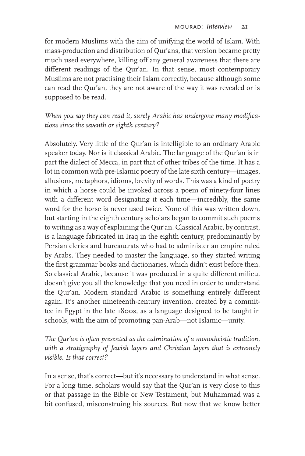for modern Muslims with the aim of unifying the world of Islam. With mass-production and distribution of Qur'ans, that version became pretty much used everywhere, killing off any general awareness that there are different readings of the Qur'an. In that sense, most contemporary Muslims are not practising their Islam correctly, because although some can read the Qur'an, they are not aware of the way it was revealed or is supposed to be read.

# *When you say they can read it, surely Arabic has undergone many modifications since the seventh or eighth century?*

Absolutely. Very little of the Qur'an is intelligible to an ordinary Arabic speaker today. Nor is it classical Arabic. The language of the Qur'an is in part the dialect of Mecca, in part that of other tribes of the time. It has a lot in common with pre-Islamic poetry of the late sixth century—images, allusions, metaphors, idioms, brevity of words. This was a kind of poetry in which a horse could be invoked across a poem of ninety-four lines with a different word designating it each time—incredibly, the same word for the horse is never used twice. None of this was written down, but starting in the eighth century scholars began to commit such poems to writing as a way of explaining the Qur'an. Classical Arabic, by contrast, is a language fabricated in Iraq in the eighth century, predominantly by Persian clerics and bureaucrats who had to administer an empire ruled by Arabs. They needed to master the language, so they started writing the first grammar books and dictionaries, which didn't exist before then. So classical Arabic, because it was produced in a quite different milieu, doesn't give you all the knowledge that you need in order to understand the Qur'an. Modern standard Arabic is something entirely different again. It's another nineteenth-century invention, created by a committee in Egypt in the late 1800s, as a language designed to be taught in schools, with the aim of promoting pan-Arab—not Islamic—unity.

*The Qur'an is often presented as the culmination of a monotheistic tradition,*  with a stratigraphy of Jewish layers and Christian layers that is extremely *visible. Is that correct?*

In a sense, that's correct—but it's necessary to understand in what sense. For a long time, scholars would say that the Qur'an is very close to this or that passage in the Bible or New Testament, but Muhammad was a bit confused, misconstruing his sources. But now that we know better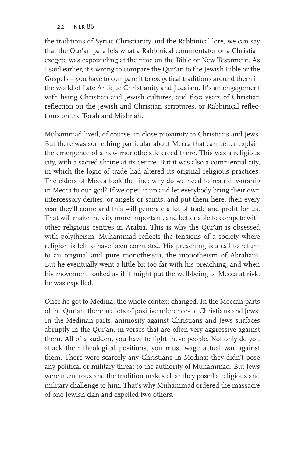the traditions of Syriac Christianity and the Rabbinical lore, we can say that the Qur'an parallels what a Rabbinical commentator or a Christian exegete was expounding at the time on the Bible or New Testament. As I said earlier, it's wrong to compare the Qur'an to the Jewish Bible or the Gospels—you have to compare it to exegetical traditions around them in the world of Late Antique Christianity and Judaism. It's an engagement with living Christian and Jewish cultures, and 600 years of Christian reflection on the Jewish and Christian scriptures, or Rabbinical reflections on the Torah and Mishnah.

Muhammad lived, of course, in close proximity to Christians and Jews. But there was something particular about Mecca that can better explain the emergence of a new monotheistic creed there. This was a religious city, with a sacred shrine at its centre. But it was also a commercial city, in which the logic of trade had altered its original religious practices. The elders of Mecca took the line: why do we need to restrict worship in Mecca to our god? If we open it up and let everybody bring their own intercessory deities, or angels or saints, and put them here, then every year they'll come and this will generate a lot of trade and profit for us. That will make the city more important, and better able to compete with other religious centres in Arabia. This is why the Qur'an is obsessed with polytheism. Muhammad reflects the tensions of a society where religion is felt to have been corrupted. His preaching is a call to return to an original and pure monotheism, the monotheism of Abraham. But he eventually went a little bit too far with his preaching, and when his movement looked as if it might put the well-being of Mecca at risk, he was expelled.

Once he got to Medina, the whole context changed. In the Meccan parts of the Qur'an, there are lots of positive references to Christians and Jews. In the Medinan parts, animosity against Christians and Jews surfaces abruptly in the Qur'an, in verses that are often very aggressive against them. All of a sudden, you have to fight these people. Not only do you attack their theological positions, you must wage actual war against them. There were scarcely any Christians in Medina; they didn't pose any political or military threat to the authority of Muhammad. But Jews were numerous and the tradition makes clear they posed a religious and military challenge to him. That's why Muhammad ordered the massacre of one Jewish clan and expelled two others.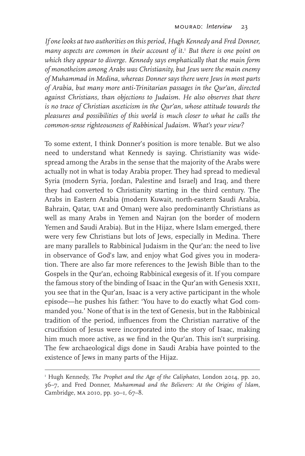*If one looks at two authorities on this period, Hugh Kennedy and Fred Donner, many aspects are common in their account of it.*<sup>1</sup>  *But there is one point on which they appear to diverge. Kennedy says emphatically that the main form of monotheism among Arabs was Christianity, but Jews were the main enemy of Muhammad in Medina, whereas Donner says there were Jews in most parts of Arabia, but many more anti-Trinitarian passages in the Qur'an, directed against Christians, than objections to Judaism. He also observes that there is no trace of Christian asceticism in the Qur'an, whose attitude towards the pleasures and possibilities of this world is much closer to what he calls the common-sense righteousness of Rabbinical Judaism. What's your view?*

To some extent, I think Donner's position is more tenable. But we also need to understand what Kennedy is saying. Christianity was widespread among the Arabs in the sense that the majority of the Arabs were actually not in what is today Arabia proper. They had spread to medieval Syria (modern Syria, Jordan, Palestine and Israel) and Iraq, and there they had converted to Christianity starting in the third century. The Arabs in Eastern Arabia (modern Kuwait, north-eastern Saudi Arabia, Bahrain, Qatar, UAE and Oman) were also predominantly Christians as well as many Arabs in Yemen and Najran (on the border of modern Yemen and Saudi Arabia). But in the Hijaz, where Islam emerged, there were very few Christians but lots of Jews, especially in Medina. There are many parallels to Rabbinical Judaism in the Qur'an: the need to live in observance of God's law, and enjoy what God gives you in moderation. There are also far more references to the Jewish Bible than to the Gospels in the Qur'an, echoing Rabbinical exegesis of it. If you compare the famous story of the binding of Isaac in the Qur'an with Genesis XXII, you see that in the Qur'an, Isaac is a very active participant in the whole episode—he pushes his father: 'You have to do exactly what God commanded you.' None of that is in the text of Genesis, but in the Rabbinical tradition of the period, influences from the Christian narrative of the crucifixion of Jesus were incorporated into the story of Isaac, making him much more active, as we find in the Qur'an. This isn't surprising. The few archaeological digs done in Saudi Arabia have pointed to the existence of Jews in many parts of the Hijaz.

<sup>1</sup> Hugh Kennedy, *The Prophet and the Age of the Caliphates*, London 2014, pp. 20, 36–7, and Fred Donner, *Muhammad and the Believers: At the Origins of Islam*, Cambridge, ma 2010, pp. 30–1, 67–8.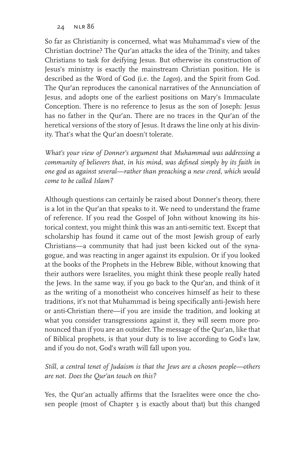So far as Christianity is concerned, what was Muhammad's view of the Christian doctrine? The Qur'an attacks the idea of the Trinity, and takes Christians to task for deifying Jesus. But otherwise its construction of Jesus's ministry is exactly the mainstream Christian position. He is described as the Word of God (i.e. the *Logos*), and the Spirit from God. The Qur'an reproduces the canonical narratives of the Annunciation of Jesus, and adopts one of the earliest positions on Mary's Immaculate Conception. There is no reference to Jesus as the son of Joseph: Jesus has no father in the Qur'an. There are no traces in the Qur'an of the heretical versions of the story of Jesus. It draws the line only at his divinity. That's what the Qur'an doesn't tolerate.

*What's your view of Donner's argument that Muhammad was addressing a community of believers that, in his mind, was defined simply by its faith in one god as against several—rather than preaching a new creed, which would come to be called Islam?*

Although questions can certainly be raised about Donner's theory, there is a lot in the Qur'an that speaks to it. We need to understand the frame of reference. If you read the Gospel of John without knowing its historical context, you might think this was an anti-semitic text. Except that scholarship has found it came out of the most Jewish group of early Christians—a community that had just been kicked out of the synagogue, and was reacting in anger against its expulsion. Or if you looked at the books of the Prophets in the Hebrew Bible, without knowing that their authors were Israelites, you might think these people really hated the Jews. In the same way, if you go back to the Qur'an, and think of it as the writing of a monotheist who conceives himself as heir to these traditions, it's not that Muhammad is being specifically anti-Jewish here or anti-Christian there—if you are inside the tradition, and looking at what you consider transgressions against it, they will seem more pronounced than if you are an outsider. The message of the Qur'an, like that of Biblical prophets, is that your duty is to live according to God's law, and if you do not, God's wrath will fall upon you.

### *Still, a central tenet of Judaism is that the Jews are a chosen people—others are not. Does the Qur'an touch on this?*

Yes, the Qur'an actually affirms that the Israelites were once the chosen people (most of Chapter 3 is exactly about that) but this changed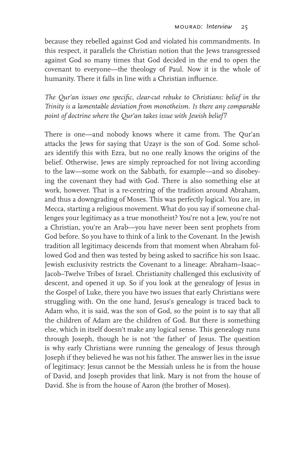because they rebelled against God and violated his commandments. In this respect, it parallels the Christian notion that the Jews transgressed against God so many times that God decided in the end to open the covenant to everyone—the theology of Paul. Now it is the whole of humanity. There it falls in line with a Christian influence.

*The Qur'an issues one specific, clear-cut rebuke to Christians: belief in the Trinity is a lamentable deviation from monotheism. Is there any comparable point of doctrine where the Qur'an takes issue with Jewish belief?*

There is one—and nobody knows where it came from. The Qur'an attacks the Jews for saying that Uzayr is the son of God. Some scholars identify this with Ezra, but no one really knows the origins of the belief. Otherwise, Jews are simply reproached for not living according to the law—some work on the Sabbath, for example—and so disobeying the covenant they had with God. There is also something else at work, however. That is a re-centring of the tradition around Abraham, and thus a downgrading of Moses. This was perfectly logical. You are, in Mecca, starting a religious movement. What do you say if someone challenges your legitimacy as a true monotheist? You're not a Jew, you're not a Christian, you're an Arab—you have never been sent prophets from God before. So you have to think of a link to the Covenant. In the Jewish tradition all legitimacy descends from that moment when Abraham followed God and then was tested by being asked to sacrifice his son Isaac. Jewish exclusivity restricts the Covenant to a lineage: Abraham–Isaac– Jacob–Twelve Tribes of Israel. Christianity challenged this exclusivity of descent, and opened it up. So if you look at the genealogy of Jesus in the Gospel of Luke, there you have two issues that early Christians were struggling with. On the one hand, Jesus's genealogy is traced back to Adam who, it is said, was the son of God, so the point is to say that all the children of Adam are the children of God. But there is something else, which in itself doesn't make any logical sense. This genealogy runs through Joseph, though he is not 'the father' of Jesus. The question is why early Christians were running the genealogy of Jesus through Joseph if they believed he was not his father. The answer lies in the issue of legitimacy: Jesus cannot be the Messiah unless he is from the house of David, and Joseph provides that link. Mary is not from the house of David. She is from the house of Aaron (the brother of Moses).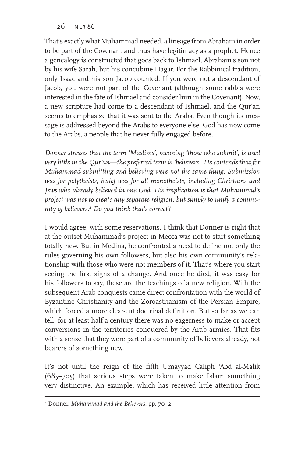That's exactly what Muhammad needed, a lineage from Abraham in order to be part of the Covenant and thus have legitimacy as a prophet. Hence a genealogy is constructed that goes back to Ishmael, Abraham's son not by his wife Sarah, but his concubine Hagar. For the Rabbinical tradition, only Isaac and his son Jacob counted. If you were not a descendant of Jacob, you were not part of the Covenant (although some rabbis were interested in the fate of Ishmael and consider him in the Covenant). Now, a new scripture had come to a descendant of Ishmael, and the Qur'an seems to emphasize that it was sent to the Arabs. Even though its message is addressed beyond the Arabs to everyone else, God has now come to the Arabs, a people that he never fully engaged before.

*Donner stresses that the term 'Muslims', meaning 'those who submit', is used very little in the Qur'an—the preferred term is 'believers'. He contends that for Muhammad submitting and believing were not the same thing. Submission was for polytheists, belief was for all monotheists, including Christians and Jews who already believed in one God. His implication is that Muhammad's project was not to create any separate religion, but simply to unify a community of believers.*<sup>2</sup>  *Do you think that's correct?*

I would agree, with some reservations. I think that Donner is right that at the outset Muhammad's project in Mecca was not to start something totally new. But in Medina, he confronted a need to define not only the rules governing his own followers, but also his own community's relationship with those who were not members of it. That's where you start seeing the first signs of a change. And once he died, it was easy for his followers to say, these are the teachings of a new religion. With the subsequent Arab conquests came direct confrontation with the world of Byzantine Christianity and the Zoroastrianism of the Persian Empire, which forced a more clear-cut doctrinal definition. But so far as we can tell, for at least half a century there was no eagerness to make or accept conversions in the territories conquered by the Arab armies. That fits with a sense that they were part of a community of believers already, not bearers of something new.

It's not until the reign of the fifth Umayyad Caliph 'Abd al-Malik (685–705) that serious steps were taken to make Islam something very distinctive. An example, which has received little attention from

<sup>2</sup> Donner, *Muhammad and the Believers*, pp. 70–2.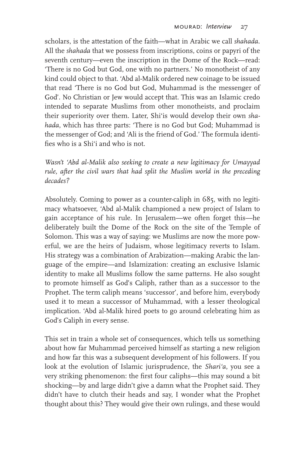scholars, is the attestation of the faith—what in Arabic we call *shahada*. All the *shahada* that we possess from inscriptions, coins or papyri of the seventh century—even the inscription in the Dome of the Rock—read: 'There is no God but God, one with no partners.' No monotheist of any kind could object to that. 'Abd al-Malik ordered new coinage to be issued that read 'There is no God but God, Muhammad is the messenger of God'. No Christian or Jew would accept that. This was an Islamic credo intended to separate Muslims from other monotheists, and proclaim their superiority over them. Later, Shi'is would develop their own *shahada*, which has three parts: 'There is no God but God; Muhammad is the messenger of God; and 'Ali is the friend of God.' The formula identifies who is a Shi'i and who is not.

*Wasn't 'Abd al-Malik also seeking to create a new legitimacy for Umayyad rule, after the civil wars that had split the Muslim world in the preceding decades?* 

Absolutely. Coming to power as a counter-caliph in 685, with no legitimacy whatsoever, 'Abd al-Malik championed a new project of Islam to gain acceptance of his rule. In Jerusalem—we often forget this—he deliberately built the Dome of the Rock on the site of the Temple of Solomon. This was a way of saying: we Muslims are now the more powerful, we are the heirs of Judaism, whose legitimacy reverts to Islam. His strategy was a combination of Arabization—making Arabic the language of the empire—and Islamization: creating an exclusive Islamic identity to make all Muslims follow the same patterns. He also sought to promote himself as God's Caliph, rather than as a successor to the Prophet. The term caliph means 'successor', and before him, everybody used it to mean a successor of Muhammad, with a lesser theological implication. 'Abd al-Malik hired poets to go around celebrating him as God's Caliph in every sense.

This set in train a whole set of consequences, which tells us something about how far Muhammad perceived himself as starting a new religion and how far this was a subsequent development of his followers. If you look at the evolution of Islamic jurisprudence, the *Shari'a*, you see a very striking phenomenon: the first four caliphs—this may sound a bit shocking—by and large didn't give a damn what the Prophet said. They didn't have to clutch their heads and say, I wonder what the Prophet thought about this? They would give their own rulings, and these would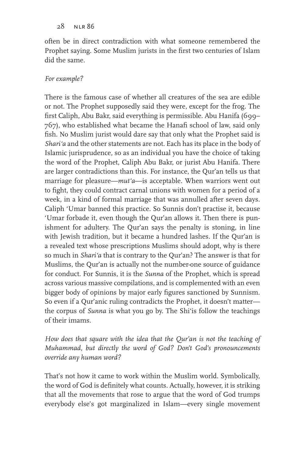often be in direct contradiction with what someone remembered the Prophet saying. Some Muslim jurists in the first two centuries of Islam did the same.

#### *For example?*

There is the famous case of whether all creatures of the sea are edible or not. The Prophet supposedly said they were, except for the frog. The first Caliph, Abu Bakr, said everything is permissible. Abu Hanifa (699– 767), who established what became the Hanafi school of law, said only fish. No Muslim jurist would dare say that only what the Prophet said is *Shari'a* and the other statements are not. Each has its place in the body of Islamic jurisprudence, so as an individual you have the choice of taking the word of the Prophet, Caliph Abu Bakr, or jurist Abu Hanifa. There are larger contradictions than this. For instance, the Qur'an tells us that marriage for pleasure—*mut'a*—is acceptable. When warriors went out to fight, they could contract carnal unions with women for a period of a week, in a kind of formal marriage that was annulled after seven days. Caliph 'Umar banned this practice. So Sunnis don't practise it, because 'Umar forbade it, even though the Qur'an allows it. Then there is punishment for adultery. The Qur'an says the penalty is stoning, in line with Jewish tradition, but it became a hundred lashes. If the Qur'an is a revealed text whose prescriptions Muslims should adopt, why is there so much in *Shari'a* that is contrary to the Qur'an? The answer is that for Muslims, the Qur'an is actually not the number-one source of guidance for conduct. For Sunnis, it is the *Sunna* of the Prophet, which is spread across various massive compilations, and is complemented with an even bigger body of opinions by major early figures sanctioned by Sunnism. So even if a Qur'anic ruling contradicts the Prophet, it doesn't matter the corpus of *Sunna* is what you go by. The Shi'is follow the teachings of their imams.

*How does that square with the idea that the Qur'an is not the teaching of Muhammad, but directly the word of God? Don't God's pronouncements override any human word?*

That's not how it came to work within the Muslim world. Symbolically, the word of God is definitely what counts. Actually, however, it is striking that all the movements that rose to argue that the word of God trumps everybody else's got marginalized in Islam—every single movement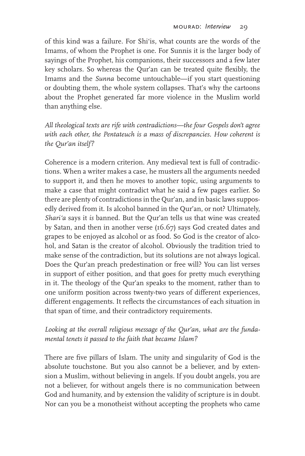of this kind was a failure. For Shi'is, what counts are the words of the Imams, of whom the Prophet is one. For Sunnis it is the larger body of sayings of the Prophet, his companions, their successors and a few later key scholars. So whereas the Qur'an can be treated quite flexibly, the Imams and the *Sunna* become untouchable—if you start questioning or doubting them, the whole system collapses. That's why the cartoons about the Prophet generated far more violence in the Muslim world than anything else.

*All theological texts are rife with contradictions—the four Gospels don't agree*  with each other, the Pentateuch is a mass of discrepancies. How coherent is *the Qur'an itself?*

Coherence is a modern criterion. Any medieval text is full of contradictions. When a writer makes a case, he musters all the arguments needed to support it, and then he moves to another topic, using arguments to make a case that might contradict what he said a few pages earlier. So there are plenty of contradictions in the Qur'an, and in basic laws supposedly derived from it. Is alcohol banned in the Qur'an, or not? Ultimately, *Shari'a* says it *is* banned. But the Qur'an tells us that wine was created by Satan, and then in another verse (16.67) says God created dates and grapes to be enjoyed as alcohol or as food. So God is the creator of alcohol, and Satan is the creator of alcohol. Obviously the tradition tried to make sense of the contradiction, but its solutions are not always logical. Does the Qur'an preach predestination or free will? You can list verses in support of either position, and that goes for pretty much everything in it. The theology of the Qur'an speaks to the moment, rather than to one uniform position across twenty-two years of different experiences, different engagements. It reflects the circumstances of each situation in that span of time, and their contradictory requirements.

### *Looking at the overall religious message of the Qur'an, what are the fundamental tenets it passed to the faith that became Islam?*

There are five pillars of Islam. The unity and singularity of God is the absolute touchstone. But you also cannot be a believer, and by extension a Muslim, without believing in angels. If you doubt angels, you are not a believer, for without angels there is no communication between God and humanity, and by extension the validity of scripture is in doubt. Nor can you be a monotheist without accepting the prophets who came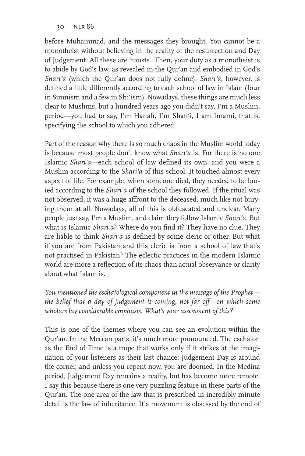before Muhammad, and the messages they brought. You cannot be a monotheist without believing in the reality of the resurrection and Day of Judgement. All these are 'musts'. Then, your duty as a monotheist is to abide by God's law, as revealed in the Qur'an and embodied in God's *Shari'a* (which the Qur'an does not fully define). *Shari'a*, however, is defined a little differently according to each school of law in Islam (four in Sunnism and a few in Shi'ism). Nowadays, these things are much less clear to Muslims, but a hundred years ago you didn't say, I'm a Muslim, period—you had to say, I'm Hanafi, I'm Shafi'i, I am Imami, that is, specifying the school to which you adhered.

Part of the reason why there is so much chaos in the Muslim world today is because most people don't know what *Shari'a* is. For there is no one Islamic *Shari'a—*each school of law defined its own, and you were a Muslim according to the *Shari'a* of this school. It touched almost every aspect of life. For example, when someone died, they needed to be buried according to the *Shari'a* of the school they followed. If the ritual was not observed, it was a huge affront to the deceased, much like not burying them at all. Nowadays, all of this is obfuscated and unclear. Many people just say, I'm a Muslim, and claim they follow Islamic *Shari'a*. But what is Islamic *Shari'a*? Where do you find it? They have no clue. They are liable to think *Shari'a* is defined by some cleric or other. But what if you are from Pakistan and this cleric is from a school of law that's not practised in Pakistan? The eclectic practices in the modern Islamic world are more a reflection of its chaos than actual observance or clarity about what Islam is.

*You mentioned the eschatological component in the message of the Prophet the belief that a day of judgement is coming, not far off—on which some scholars lay considerable emphasis. What's your assessment of this?* 

This is one of the themes where you can see an evolution within the Qur'an. In the Meccan parts, it's much more pronounced. The eschaton as the End of Time is a trope that works only if it strikes at the imagination of your listeners as their last chance: Judgement Day is around the corner, and unless you repent now, you are doomed. In the Medina period, Judgement Day remains a reality, but has become more remote. I say this because there is one very puzzling feature in these parts of the Qur'an. The one area of the law that is prescribed in incredibly minute detail is the law of inheritance. If a movement is obsessed by the end of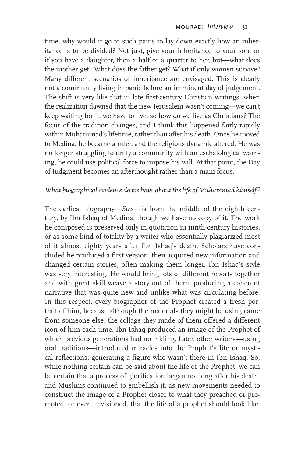time, why would it go to such pains to lay down exactly how an inheritance is to be divided? Not just, give your inheritance to your son, or if you have a daughter, then a half or a quarter to her, but—what does the mother get? What does the father get? What if only women survive? Many different scenarios of inheritance are envisaged. This is clearly not a community living in panic before an imminent day of judgement. The shift is very like that in late first-century Christian writings, when the realization dawned that the new Jerusalem wasn't coming—we can't keep waiting for it, we have to live, so how do we live as Christians? The focus of the tradition changes, and I think this happened fairly rapidly within Muhammad's lifetime, rather than after his death. Once he moved to Medina, he became a ruler, and the religious dynamic altered. He was no longer struggling to unify a community with an eschatological warning, he could use political force to impose his will. At that point, the Day of Judgment becomes an afterthought rather than a main focus.

#### *What biographical evidence do we have about the life of Muhammad himself?*

The earliest biography—*Sira*—is from the middle of the eighth century, by Ibn Ishaq of Medina, though we have no copy of it. The work he composed is preserved only in quotation in ninth-century histories, or as some kind of totality by a writer who essentially plagiarized most of it almost eighty years after Ibn Ishaq's death. Scholars have concluded he produced a first version, then acquired new information and changed certain stories, often making them longer. Ibn Ishaq's style was very interesting. He would bring lots of different reports together and with great skill weave a story out of them, producing a coherent narrative that was quite new and unlike what was circulating before. In this respect, every biographer of the Prophet created a fresh portrait of him, because although the materials they might be using came from someone else, the collage they made of them offered a different icon of him each time. Ibn Ishaq produced an image of the Prophet of which previous generations had no inkling. Later, other writers—using oral traditions—introduced miracles into the Prophet's life or mystical reflections, generating a figure who wasn't there in Ibn Ishaq. So, while nothing certain can be said about the life of the Prophet, we can be certain that a process of glorification began not long after his death, and Muslims continued to embellish it, as new movements needed to construct the image of a Prophet closer to what they preached or promoted, or even envisioned, that the life of a prophet should look like.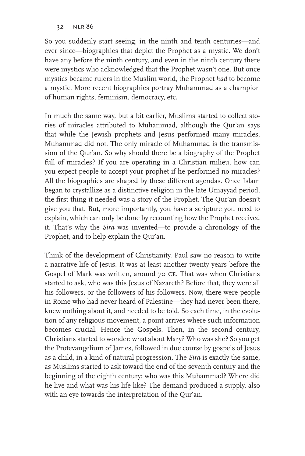So you suddenly start seeing, in the ninth and tenth centuries—and ever since—biographies that depict the Prophet as a mystic. We don't have any before the ninth century, and even in the ninth century there were mystics who acknowledged that the Prophet wasn't one. But once mystics became rulers in the Muslim world, the Prophet *had* to become a mystic. More recent biographies portray Muhammad as a champion of human rights, feminism, democracy, etc.

In much the same way, but a bit earlier, Muslims started to collect stories of miracles attributed to Muhammad, although the Qur'an says that while the Jewish prophets and Jesus performed many miracles, Muhammad did not. The only miracle of Muhammad is the transmission of the Qur'an. So why should there be a biography of the Prophet full of miracles? If you are operating in a Christian milieu, how can you expect people to accept your prophet if he performed no miracles? All the biographies are shaped by these different agendas. Once Islam began to crystallize as a distinctive religion in the late Umayyad period, the first thing it needed was a story of the Prophet. The Qur'an doesn't give you that. But, more importantly, you have a scripture you need to explain, which can only be done by recounting how the Prophet received it. That's why the *Sira* was invented—to provide a chronology of the Prophet, and to help explain the Qur'an.

Think of the development of Christianity. Paul saw no reason to write a narrative life of Jesus. It was at least another twenty years before the Gospel of Mark was written, around 70 ce. That was when Christians started to ask, who was this Jesus of Nazareth? Before that, they were all his followers, or the followers of his followers. Now, there were people in Rome who had never heard of Palestine—they had never been there, knew nothing about it, and needed to be told. So each time, in the evolution of any religious movement, a point arrives where such information becomes crucial. Hence the Gospels. Then, in the second century, Christians started to wonder: what about Mary? Who was she? So you get the Protevangelium of James, followed in due course by gospels of Jesus as a child, in a kind of natural progression. The *Sira* is exactly the same, as Muslims started to ask toward the end of the seventh century and the beginning of the eighth century: who was this Muhammad? Where did he live and what was his life like? The demand produced a supply, also with an eye towards the interpretation of the Qur'an.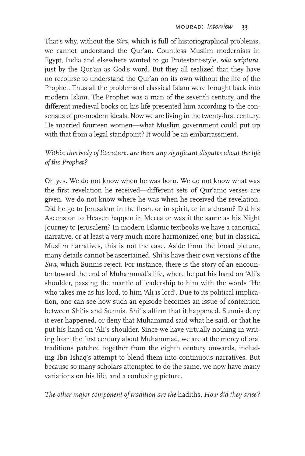That's why, without the *Sira*, which is full of historiographical problems, we cannot understand the Qur'an. Countless Muslim modernists in Egypt, India and elsewhere wanted to go Protestant-style, *sola scriptura*, just by the Qur'an as God's word. But they all realized that they have no recourse to understand the Qur'an on its own without the life of the Prophet. Thus all the problems of classical Islam were brought back into modern Islam. The Prophet was a man of the seventh century, and the different medieval books on his life presented him according to the consensus of pre-modern ideals. Now we are living in the twenty-first century. He married fourteen women—what Muslim government could put up with that from a legal standpoint? It would be an embarrassment.

#### *Within this body of literature, are there any significant disputes about the life of the Prophet?*

Oh yes. We do not know when he was born. We do not know what was the first revelation he received—different sets of Qur'anic verses are given. We do not know where he was when he received the revelation. Did he go to Jerusalem in the flesh, or in spirit, or in a dream? Did his Ascension to Heaven happen in Mecca or was it the same as his Night Journey to Jerusalem? In modern Islamic textbooks we have a canonical narrative, or at least a very much more harmonized one; but in classical Muslim narratives, this is not the case. Aside from the broad picture, many details cannot be ascertained. Shi'is have their own versions of the *Sira*, which Sunnis reject. For instance, there is the story of an encounter toward the end of Muhammad's life, where he put his hand on 'Ali's shoulder, passing the mantle of leadership to him with the words 'He who takes me as his lord, to him 'Ali is lord'. Due to its political implication, one can see how such an episode becomes an issue of contention between Shi'is and Sunnis. Shi'is affirm that it happened. Sunnis deny it ever happened, or deny that Muhammad said what he said, or that he put his hand on 'Ali's shoulder. Since we have virtually nothing in writing from the first century about Muhammad, we are at the mercy of oral traditions patched together from the eighth century onwards, including Ibn Ishaq's attempt to blend them into continuous narratives. But because so many scholars attempted to do the same, we now have many variations on his life, and a confusing picture.

*The other major component of tradition are the* hadiths*. How did they arise?*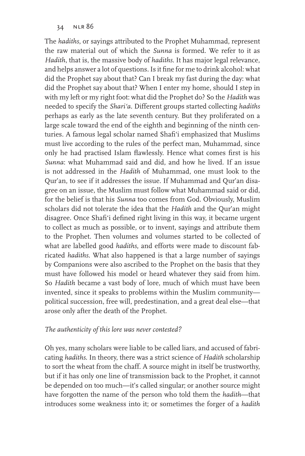The *hadiths*, or sayings attributed to the Prophet Muhammad, represent the raw material out of which the *Sunna* is formed. We refer to it as *Hadith*, that is, the massive body of *hadiths*. It has major legal relevance, and helps answer a lot of questions. Is it fine for me to drink alcohol: what did the Prophet say about that? Can I break my fast during the day: what did the Prophet say about that? When I enter my home, should I step in with my left or my right foot: what did the Prophet do? So the *Hadith* was needed to specify the *Shari'a*. Different groups started collecting *hadiths* perhaps as early as the late seventh century. But they proliferated on a large scale toward the end of the eighth and beginning of the ninth centuries. A famous legal scholar named Shafi'i emphasized that Muslims must live according to the rules of the perfect man, Muhammad, since only he had practised Islam flawlessly. Hence what comes first is his *Sunna*: what Muhammad said and did, and how he lived. If an issue is not addressed in the *Hadith* of Muhammad, one must look to the Qur'an, to see if it addresses the issue. If Muhammad and Qur'an disagree on an issue, the Muslim must follow what Muhammad said or did, for the belief is that his *Sunna* too comes from God. Obviously, Muslim scholars did not tolerate the idea that the *Hadith* and the Qur'an might disagree. Once Shafi'i defined right living in this way, it became urgent to collect as much as possible, or to invent, sayings and attribute them to the Prophet. Then volumes and volumes started to be collected of what are labelled good *hadiths*, and efforts were made to discount fabricated *hadiths*. What also happened is that a large number of sayings by Companions were also ascribed to the Prophet on the basis that they must have followed his model or heard whatever they said from him. So *Hadith* became a vast body of lore, much of which must have been invented, since it speaks to problems within the Muslim community political succession, free will, predestination, and a great deal else—that arose only after the death of the Prophet.

### *The authenticity of this lore was never contested?*

Oh yes, many scholars were liable to be called liars, and accused of fabricating *hadiths*. In theory, there was a strict science of *Hadith* scholarship to sort the wheat from the chaff. A source might in itself be trustworthy, but if it has only one line of transmission back to the Prophet, it cannot be depended on too much—it's called singular; or another source might have forgotten the name of the person who told them the *hadith*—that introduces some weakness into it; or sometimes the forger of a *hadith*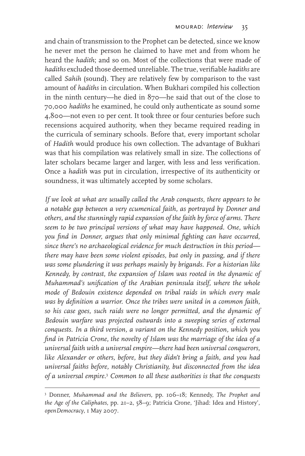and chain of transmission to the Prophet can be detected, since we know he never met the person he claimed to have met and from whom he heard the *hadith*; and so on. Most of the collections that were made of *hadiths* excluded those deemed unreliable. The true, verifiable *hadiths* are called *Sahih* (sound). They are relatively few by comparison to the vast amount of *hadiths* in circulation*.* When Bukhari compiled his collection in the ninth century—he died in 870—he said that out of the close to 70,000 *hadiths* he examined, he could only authenticate as sound some 4,800—not even 10 per cent. It took three or four centuries before such recensions acquired authority, when they became required reading in the curricula of seminary schools. Before that, every important scholar of *Hadith* would produce his own collection. The advantage of Bukhari was that his compilation was relatively small in size. The collections of later scholars became larger and larger, with less and less verification. Once a *hadith* was put in circulation, irrespective of its authenticity or soundness, it was ultimately accepted by some scholars.

*If we look at what are usually called the Arab conquests, there appears to be a notable gap between a very ecumenical faith, as portrayed by Donner and others, and the stunningly rapid expansion of the faith by force of arms. There seem to be two principal versions of what may have happened. One, which you find in Donner, argues that only minimal fighting can have occurred, since there's no archaeological evidence for much destruction in this period there may have been some violent episodes, but only in passing, and if there was some plundering it was perhaps mainly by brigands. For a historian like Kennedy, by contrast, the expansion of Islam was rooted in the dynamic of Muhammad's unification of the Arabian peninsula itself, where the whole mode of Bedouin existence depended on tribal raids in which every male was by definition a warrior. Once the tribes were united in a common faith, so his case goes, such raids were no longer permitted, and the dynamic of Bedouin warfare was projected outwards into a sweeping series of external conquests. In a third version, a variant on the Kennedy position, which you find in Patricia Crone, the novelty of Islam was the marriage of the idea of a universal faith with a universal empire—there had been universal conquerors, like Alexander or others, before, but they didn't bring a faith, and you had universal faiths before, notably Christianity, but disconnected from the idea of a universal empire.*<sup>3</sup>  *Common to all these authorities is that the conquests* 

<sup>3</sup> Donner, *Muhammad and the Believers*, pp. 106–18; Kennedy, *The Prophet and the Age of the Caliphates*, pp. 21–2, 58–9; Patricia Crone, 'Jihad: Idea and History', *openDemocracy*, 1 May 2007.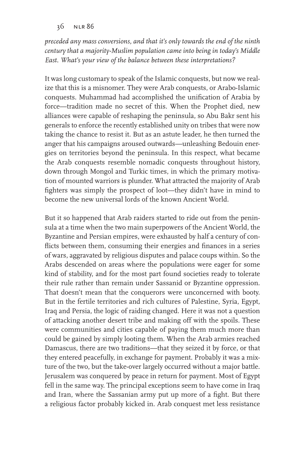*preceded any mass conversions, and that it's only towards the end of the ninth century that a majority-Muslim population came into being in today's Middle East. What's your view of the balance between these interpretations?*

It was long customary to speak of the Islamic conquests, but now we realize that this is a misnomer. They were Arab conquests, or Arabo-Islamic conquests. Muhammad had accomplished the unification of Arabia by force—tradition made no secret of this. When the Prophet died, new alliances were capable of reshaping the peninsula, so Abu Bakr sent his generals to enforce the recently established unity on tribes that were now taking the chance to resist it. But as an astute leader, he then turned the anger that his campaigns aroused outwards—unleashing Bedouin energies on territories beyond the peninsula. In this respect, what became the Arab conquests resemble nomadic conquests throughout history, down through Mongol and Turkic times, in which the primary motivation of mounted warriors is plunder. What attracted the majority of Arab fighters was simply the prospect of loot—they didn't have in mind to become the new universal lords of the known Ancient World.

But it so happened that Arab raiders started to ride out from the peninsula at a time when the two main superpowers of the Ancient World, the Byzantine and Persian empires, were exhausted by half a century of conflicts between them, consuming their energies and finances in a series of wars, aggravated by religious disputes and palace coups within. So the Arabs descended on areas where the populations were eager for some kind of stability, and for the most part found societies ready to tolerate their rule rather than remain under Sassanid or Byzantine oppression. That doesn't mean that the conquerors were unconcerned with booty. But in the fertile territories and rich cultures of Palestine, Syria, Egypt, Iraq and Persia, the logic of raiding changed. Here it was not a question of attacking another desert tribe and making off with the spoils. These were communities and cities capable of paying them much more than could be gained by simply looting them. When the Arab armies reached Damascus, there are two traditions—that they seized it by force, or that they entered peacefully, in exchange for payment. Probably it was a mixture of the two, but the take-over largely occurred without a major battle. Jerusalem was conquered by peace in return for payment. Most of Egypt fell in the same way. The principal exceptions seem to have come in Iraq and Iran, where the Sassanian army put up more of a fight. But there a religious factor probably kicked in. Arab conquest met less resistance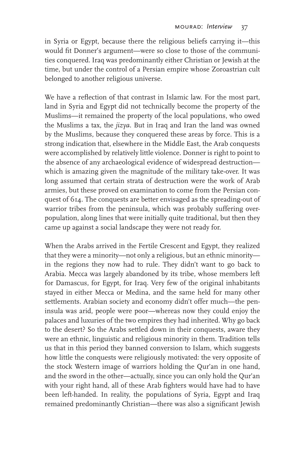in Syria or Egypt, because there the religious beliefs carrying it—this would fit Donner's argument—were so close to those of the communities conquered. Iraq was predominantly either Christian or Jewish at the time, but under the control of a Persian empire whose Zoroastrian cult belonged to another religious universe.

We have a reflection of that contrast in Islamic law. For the most part, land in Syria and Egypt did not technically become the property of the Muslims—it remained the property of the local populations, who owed the Muslims a tax, the *jizya*. But in Iraq and Iran the land was owned by the Muslims, because they conquered these areas by force. This is a strong indication that, elsewhere in the Middle East, the Arab conquests were accomplished by relatively little violence. Donner is right to point to the absence of any archaeological evidence of widespread destruction which is amazing given the magnitude of the military take-over. It was long assumed that certain strata of destruction were the work of Arab armies, but these proved on examination to come from the Persian conquest of 614. The conquests are better envisaged as the spreading-out of warrior tribes from the peninsula, which was probably suffering overpopulation, along lines that were initially quite traditional, but then they came up against a social landscape they were not ready for.

When the Arabs arrived in the Fertile Crescent and Egypt, they realized that they were a minority—not only a religious, but an ethnic minority in the regions they now had to rule. They didn't want to go back to Arabia. Mecca was largely abandoned by its tribe, whose members left for Damascus, for Egypt, for Iraq. Very few of the original inhabitants stayed in either Mecca or Medina, and the same held for many other settlements. Arabian society and economy didn't offer much—the peninsula was arid, people were poor—whereas now they could enjoy the palaces and luxuries of the two empires they had inherited. Why go back to the desert? So the Arabs settled down in their conquests, aware they were an ethnic, linguistic and religious minority in them. Tradition tells us that in this period they banned conversion to Islam, which suggests how little the conquests were religiously motivated: the very opposite of the stock Western image of warriors holding the Qur'an in one hand, and the sword in the other—actually, since you can only hold the Qur'an with your right hand, all of these Arab fighters would have had to have been left-handed. In reality, the populations of Syria, Egypt and Iraq remained predominantly Christian—there was also a significant Jewish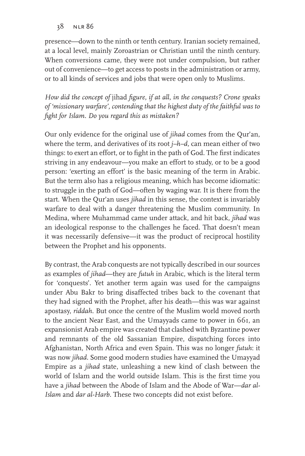presence—down to the ninth or tenth century. Iranian society remained, at a local level, mainly Zoroastrian or Christian until the ninth century. When conversions came, they were not under compulsion, but rather out of convenience—to get access to posts in the administration or army, or to all kinds of services and jobs that were open only to Muslims.

*How did the concept of* jihad *figure, if at all, in the conquests? Crone speaks of 'missionary warfare', contending that the highest duty of the faithful was to fight for Islam. Do you regard this as mistaken?*

Our only evidence for the original use of *jihad* comes from the Qur'an, where the term, and derivatives of its root *j–h–d,* can mean either of two things: to exert an effort, or to fight in the path of God. The first indicates striving in any endeavour—you make an effort to study, or to be a good person: 'exerting an effort' is the basic meaning of the term in Arabic. But the term also has a religious meaning, which has become idiomatic: to struggle in the path of God—often by waging war. It is there from the start. When the Qur'an uses *jihad* in this sense, the context is invariably warfare to deal with a danger threatening the Muslim community. In Medina, where Muhammad came under attack, and hit back, *jihad* was an ideological response to the challenges he faced. That doesn't mean it was necessarily defensive—it was the product of reciprocal hostility between the Prophet and his opponents.

By contrast, the Arab conquests are not typically described in our sources as examples of *jihad*—they are *futuh* in Arabic, which is the literal term for 'conquests'. Yet another term again was used for the campaigns under Abu Bakr to bring disaffected tribes back to the covenant that they had signed with the Prophet, after his death—this was war against apostasy, *riddah*. But once the centre of the Muslim world moved north to the ancient Near East, and the Umayyads came to power in 661, an expansionist Arab empire was created that clashed with Byzantine power and remnants of the old Sassanian Empire, dispatching forces into Afghanistan, North Africa and even Spain. This was no longer *futuh*: it was now *jihad*. Some good modern studies have examined the Umayyad Empire as a *jihad* state, unleashing a new kind of clash between the world of Islam and the world outside Islam. This is the first time you have a *jihad* between the Abode of Islam and the Abode of War—*dar al-Islam* and *dar al-Harb*. These two concepts did not exist before.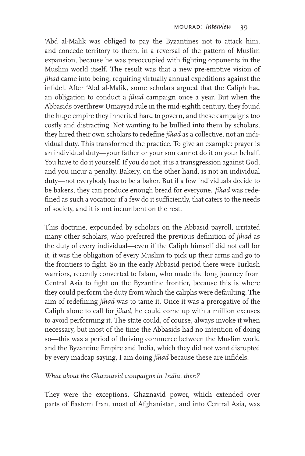'Abd al-Malik was obliged to pay the Byzantines not to attack him, and concede territory to them, in a reversal of the pattern of Muslim expansion, because he was preoccupied with fighting opponents in the Muslim world itself. The result was that a new pre-emptive vision of *jihad* came into being, requiring virtually annual expeditions against the infidel. After 'Abd al-Malik, some scholars argued that the Caliph had an obligation to conduct a *jihad* campaign once a year. But when the Abbasids overthrew Umayyad rule in the mid-eighth century, they found the huge empire they inherited hard to govern, and these campaigns too costly and distracting. Not wanting to be bullied into them by scholars, they hired their own scholars to redefine *jihad* as a collective, not an individual duty. This transformed the practice. To give an example: prayer is an individual duty—your father or your son cannot do it on your behalf. You have to do it yourself. If you do not, it is a transgression against God, and you incur a penalty. Bakery, on the other hand, is not an individual duty—not everybody has to be a baker. But if a few individuals decide to be bakers, they can produce enough bread for everyone. *Jihad* was redefined as such a vocation: if a few do it sufficiently, that caters to the needs of society, and it is not incumbent on the rest.

This doctrine, expounded by scholars on the Abbasid payroll, irritated many other scholars, who preferred the previous definition of *jihad* as the duty of every individual—even if the Caliph himself did not call for it, it was the obligation of every Muslim to pick up their arms and go to the frontiers to fight. So in the early Abbasid period there were Turkish warriors, recently converted to Islam, who made the long journey from Central Asia to fight on the Byzantine frontier, because this is where they could perform the duty from which the caliphs were defaulting. The aim of redefining *jihad* was to tame it. Once it was a prerogative of the Caliph alone to call for *jihad*, he could come up with a million excuses to avoid performing it. The state could, of course, always invoke it when necessary, but most of the time the Abbasids had no intention of doing so—this was a period of thriving commerce between the Muslim world and the Byzantine Empire and India, which they did not want disrupted by every madcap saying, I am doing *jihad* because these are infidels.

#### *What about the Ghaznavid campaigns in India, then?*

They were the exceptions. Ghaznavid power, which extended over parts of Eastern Iran, most of Afghanistan, and into Central Asia, was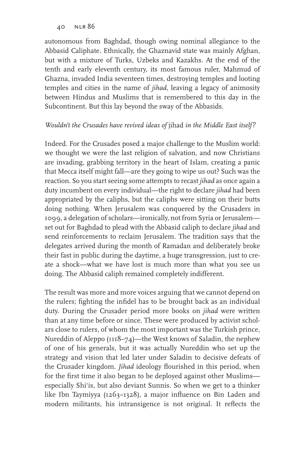autonomous from Baghdad, though owing nominal allegiance to the Abbasid Caliphate. Ethnically, the Ghaznavid state was mainly Afghan, but with a mixture of Turks, Uzbeks and Kazakhs. At the end of the tenth and early eleventh century, its most famous ruler, Mahmud of Ghazna, invaded India seventeen times, destroying temples and looting temples and cities in the name of *jihad*, leaving a legacy of animosity between Hindus and Muslims that is remembered to this day in the Subcontinent. But this lay beyond the sway of the Abbasids.

#### *Wouldn't the Crusades have revived ideas of* jihad *in the Middle East itself?*

Indeed. For the Crusades posed a major challenge to the Muslim world: we thought we were the last religion of salvation, and now Christians are invading, grabbing territory in the heart of Islam, creating a panic that Mecca itself might fall—are they going to wipe us out? Such was the reaction. So you start seeing some attempts to recast *jihad* as once again a duty incumbent on every individual—the right to declare *jihad* had been appropriated by the caliphs, but the caliphs were sitting on their butts doing nothing. When Jerusalem was conquered by the Crusaders in 1099, a delegation of scholars—ironically, not from Syria or Jerusalem set out for Baghdad to plead with the Abbasid caliph to declare *jihad* and send reinforcements to reclaim Jerusalem. The tradition says that the delegates arrived during the month of Ramadan and deliberately broke their fast in public during the daytime, a huge transgression, just to create a shock—what we have lost is much more than what you see us doing. The Abbasid caliph remained completely indifferent.

The result was more and more voices arguing that we cannot depend on the rulers; fighting the infidel has to be brought back as an individual duty. During the Crusader period more books on *jihad* were written than at any time before or since. These were produced by activist scholars close to rulers, of whom the most important was the Turkish prince, Nureddin of Aleppo (1118–74)—the West knows of Saladin, the nephew of one of his generals, but it was actually Nureddin who set up the strategy and vision that led later under Saladin to decisive defeats of the Crusader kingdom. *Jihad* ideology flourished in this period, when for the first time it also began to be deployed against other Muslims especially Shi'is, but also deviant Sunnis. So when we get to a thinker like Ibn Taymiyya (1263–1328), a major influence on Bin Laden and modern militants, his intransigence is not original. It reflects the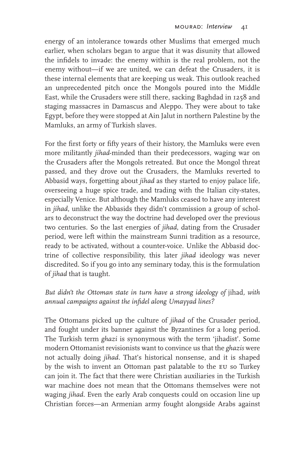energy of an intolerance towards other Muslims that emerged much earlier, when scholars began to argue that it was disunity that allowed the infidels to invade: the enemy within is the real problem, not the enemy without—if we are united, we can defeat the Crusaders, it is these internal elements that are keeping us weak. This outlook reached an unprecedented pitch once the Mongols poured into the Middle East, while the Crusaders were still there, sacking Baghdad in 1258 and staging massacres in Damascus and Aleppo. They were about to take Egypt, before they were stopped at Ain Jalut in northern Palestine by the Mamluks, an army of Turkish slaves.

For the first forty or fifty years of their history, the Mamluks were even more militantly *jihad*-minded than their predecessors, waging war on the Crusaders after the Mongols retreated. But once the Mongol threat passed, and they drove out the Crusaders, the Mamluks reverted to Abbasid ways, forgetting about *jihad* as they started to enjoy palace life, overseeing a huge spice trade, and trading with the Italian city-states, especially Venice. But although the Mamluks ceased to have any interest in *jihad*, unlike the Abbasids they didn't commission a group of scholars to deconstruct the way the doctrine had developed over the previous two centuries. So the last energies of *jihad*, dating from the Crusader period, were left within the mainstream Sunni tradition as a resource, ready to be activated, without a counter-voice. Unlike the Abbasid doctrine of collective responsibility, this later *jihad* ideology was never discredited. So if you go into any seminary today, this is the formulation of *jihad* that is taught.

### *But didn't the Ottoman state in turn have a strong ideology of* jihad*, with annual campaigns against the infidel along Umayyad lines?*

The Ottomans picked up the culture of *jihad* of the Crusader period, and fought under its banner against the Byzantines for a long period. The Turkish term *ghazi* is synonymous with the term 'jihadist'. Some modern Ottomanist revisionists want to convince us that the *ghazis* were not actually doing *jihad.* That's historical nonsense, and it is shaped by the wish to invent an Ottoman past palatable to the EU so Turkey can join it. The fact that there were Christian auxiliaries in the Turkish war machine does not mean that the Ottomans themselves were not waging *jihad*. Even the early Arab conquests could on occasion line up Christian forces—an Armenian army fought alongside Arabs against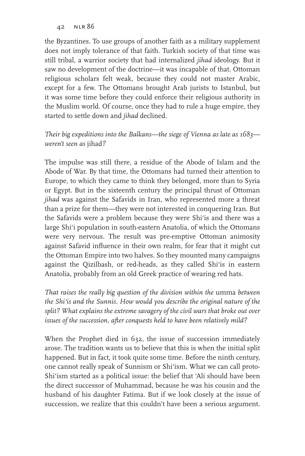the Byzantines. To use groups of another faith as a military supplement does not imply tolerance of that faith. Turkish society of that time was still tribal, a warrior society that had internalized *jihad* ideology. But it saw no development of the doctrine—it was incapable of that. Ottoman religious scholars felt weak, because they could not master Arabic, except for a few. The Ottomans brought Arab jurists to Istanbul, but it was some time before they could enforce their religious authority in the Muslim world. Of course, once they had to rule a huge empire, they started to settle down and *jihad* declined.

## *Their big expeditions into the Balkans—the siege of Vienna as late as 1683 weren't seen as* jihad*?*

The impulse was still there, a residue of the Abode of Islam and the Abode of War. By that time, the Ottomans had turned their attention to Europe, to which they came to think they belonged, more than to Syria or Egypt. But in the sixteenth century the principal thrust of Ottoman *jihad* was against the Safavids in Iran, who represented more a threat than a prize for them—they were not interested in conquering Iran. But the Safavids were a problem because they were Shi'is and there was a large Shi'i population in south-eastern Anatolia, of which the Ottomans were very nervous. The result was pre-emptive Ottoman animosity against Safavid influence in their own realm, for fear that it might cut the Ottoman Empire into two halves. So they mounted many campaigns against the Qizilbash, or red-heads, as they called Shi'is in eastern Anatolia, probably from an old Greek practice of wearing red hats.

*That raises the really big question of the division within the umma between the Shi'is and the Sunnis. How would you describe the original nature of the split? What explains the extreme savagery of the civil wars that broke out over issues of the succession, after conquests held to have been relatively mild?* 

When the Prophet died in 632, the issue of succession immediately arose. The tradition wants us to believe that this is when the initial split happened. But in fact, it took quite some time. Before the ninth century, one cannot really speak of Sunnism or Shi'ism. What we can call proto-Shi'ism started as a political issue: the belief that 'Ali should have been the direct successor of Muhammad, because he was his cousin and the husband of his daughter Fatima. But if we look closely at the issue of succession, we realize that this couldn't have been a serious argument.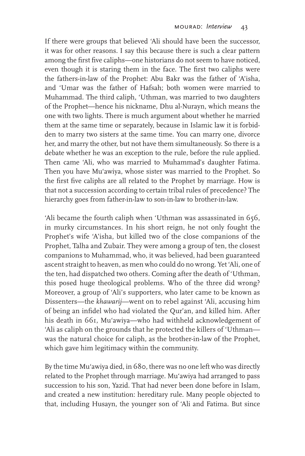If there were groups that believed 'Ali should have been the successor, it was for other reasons. I say this because there is such a clear pattern among the first five caliphs—one historians do not seem to have noticed, even though it is staring them in the face. The first two caliphs were the fathers-in-law of the Prophet: Abu Bakr was the father of 'A'isha, and 'Umar was the father of Hafsah; both women were married to Muhammad. The third caliph, 'Uthman, was married to two daughters of the Prophet—hence his nickname, Dhu al-Nurayn, which means the one with two lights. There is much argument about whether he married them at the same time or separately, because in Islamic law it is forbidden to marry two sisters at the same time. You can marry one, divorce her, and marry the other, but not have them simultaneously. So there is a debate whether he was an exception to the rule, before the rule applied. Then came 'Ali, who was married to Muhammad's daughter Fatima. Then you have Mu'awiya, whose sister was married to the Prophet. So the first five caliphs are all related to the Prophet by marriage. How is that not a succession according to certain tribal rules of precedence? The hierarchy goes from father-in-law to son-in-law to brother-in-law.

'Ali became the fourth caliph when 'Uthman was assassinated in 656, in murky circumstances. In his short reign, he not only fought the Prophet's wife 'A'isha, but killed two of the close companions of the Prophet, Talha and Zubair. They were among a group of ten, the closest companions to Muhammad, who, it was believed, had been guaranteed ascent straight to heaven, as men who could do no wrong. Yet 'Ali, one of the ten, had dispatched two others. Coming after the death of 'Uthman, this posed huge theological problems. Who of the three did wrong? Moreover, a group of 'Ali's supporters, who later came to be known as Dissenters—the *khawarij*—went on to rebel against 'Ali, accusing him of being an infidel who had violated the Qur'an, and killed him. After his death in 661, Mu'awiya—who had withheld acknowledgement of 'Ali as caliph on the grounds that he protected the killers of 'Uthman was the natural choice for caliph, as the brother-in-law of the Prophet, which gave him legitimacy within the community.

By the time Mu'awiya died, in 680, there was no one left who was directly related to the Prophet through marriage. Mu'awiya had arranged to pass succession to his son, Yazid. That had never been done before in Islam, and created a new institution: hereditary rule. Many people objected to that, including Husayn, the younger son of 'Ali and Fatima. But since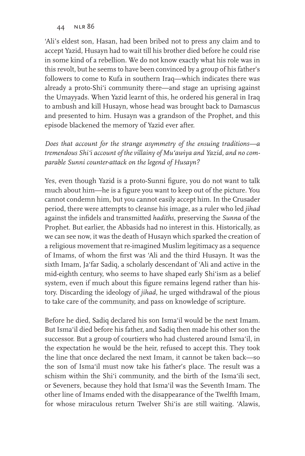'Ali's eldest son, Hasan, had been bribed not to press any claim and to accept Yazid, Husayn had to wait till his brother died before he could rise in some kind of a rebellion. We do not know exactly what his role was in this revolt, but he seems to have been convinced by a group of his father's followers to come to Kufa in southern Iraq—which indicates there was already a proto-Shi'i community there—and stage an uprising against the Umayyads. When Yazid learnt of this, he ordered his general in Iraq to ambush and kill Husayn, whose head was brought back to Damascus and presented to him. Husayn was a grandson of the Prophet, and this episode blackened the memory of Yazid ever after.

*Does that account for the strange asymmetry of the ensuing traditions—a tremendous Shi'i account of the villainy of Mu'awiya and Yazid, and no comparable Sunni counter-attack on the legend of Husayn?*

Yes, even though Yazid is a proto-Sunni figure, you do not want to talk much about him—he is a figure you want to keep out of the picture. You cannot condemn him, but you cannot easily accept him. In the Crusader period, there were attempts to cleanse his image, as a ruler who led *jihad* against the infidels and transmitted *hadiths*, preserving the *Sunna* of the Prophet. But earlier, the Abbasids had no interest in this. Historically, as we can see now, it was the death of Husayn which sparked the creation of a religious movement that re-imagined Muslim legitimacy as a sequence of Imams, of whom the first was 'Ali and the third Husayn. It was the sixth Imam, Ja'far Sadiq, a scholarly descendant of 'Ali and active in the mid-eighth century, who seems to have shaped early Shi'ism as a belief system, even if much about this figure remains legend rather than history. Discarding the ideology of *jihad*, he urged withdrawal of the pious to take care of the community, and pass on knowledge of scripture.

Before he died, Sadiq declared his son Isma'il would be the next Imam. But Isma'il died before his father, and Sadiq then made his other son the successor. But a group of courtiers who had clustered around Isma'il, in the expectation he would be the heir, refused to accept this. They took the line that once declared the next Imam, it cannot be taken back—so the son of Isma'il must now take his father's place. The result was a schism within the Shi'i community, and the birth of the Isma'ili sect, or Seveners, because they hold that Isma'il was the Seventh Imam. The other line of Imams ended with the disappearance of the Twelfth Imam, for whose miraculous return Twelver Shi'is are still waiting. 'Alawis,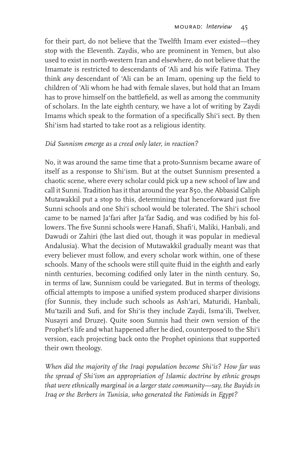for their part, do not believe that the Twelfth Imam ever existed—they stop with the Eleventh. Zaydis, who are prominent in Yemen, but also used to exist in north-western Iran and elsewhere, do not believe that the Imamate is restricted to descendants of 'Ali and his wife Fatima. They think *any* descendant of 'Ali can be an Imam, opening up the field to children of 'Ali whom he had with female slaves, but hold that an Imam has to prove himself on the battlefield, as well as among the community of scholars. In the late eighth century, we have a lot of writing by Zaydi Imams which speak to the formation of a specifically Shi'i sect. By then Shi'ism had started to take root as a religious identity.

#### *Did Sunnism emerge as a creed only later, in reaction?*

No, it was around the same time that a proto-Sunnism became aware of itself as a response to Shi'ism. But at the outset Sunnism presented a chaotic scene, where every scholar could pick up a new school of law and call it Sunni. Tradition has it that around the year 850, the Abbasid Caliph Mutawakkil put a stop to this, determining that henceforward just five Sunni schools and one Shi'i school would be tolerated. The Shi'i school came to be named Ja'fari after Ja'far Sadiq, and was codified by his followers. The five Sunni schools were Hanafi, Shafi'i, Maliki, Hanbali, and Dawudi or Zahiri (the last died out, though it was popular in medieval Andalusia). What the decision of Mutawakkil gradually meant was that every believer must follow, and every scholar work within, one of these schools. Many of the schools were still quite fluid in the eighth and early ninth centuries, becoming codified only later in the ninth century. So, in terms of law, Sunnism could be variegated. But in terms of theology, official attempts to impose a unified system produced sharper divisions (for Sunnis, they include such schools as Ash'ari, Maturidi, Hanbali, Mu'tazili and Sufi, and for Shi'is they include Zaydi, Isma'ili, Twelver, Nusayri and Druze). Quite soon Sunnis had their own version of the Prophet's life and what happened after he died, counterposed to the Shi'i version, each projecting back onto the Prophet opinions that supported their own theology.

*When did the majority of the Iraqi population become Shi'is? How far was the spread of Shi'ism an appropriation of Islamic doctrine by ethnic groups that were ethnically marginal in a larger state community—say, the Buyids in Iraq or the Berbers in Tunisia, who generated the Fatimids in Egypt?*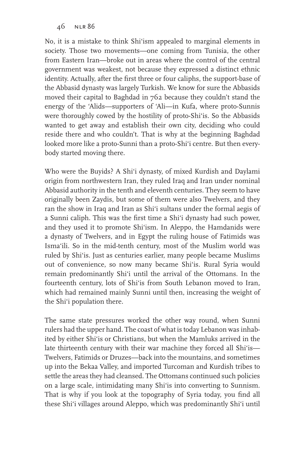No, it is a mistake to think Shi'ism appealed to marginal elements in society. Those two movements—one coming from Tunisia, the other from Eastern Iran—broke out in areas where the control of the central government was weakest, not because they expressed a distinct ethnic identity. Actually, after the first three or four caliphs, the support-base of the Abbasid dynasty was largely Turkish. We know for sure the Abbasids moved their capital to Baghdad in 762 because they couldn't stand the energy of the 'Alids—supporters of 'Ali—in Kufa, where proto-Sunnis were thoroughly cowed by the hostility of proto-Shi'is. So the Abbasids wanted to get away and establish their own city, deciding who could reside there and who couldn't. That is why at the beginning Baghdad looked more like a proto-Sunni than a proto-Shi'i centre. But then everybody started moving there.

Who were the Buyids? A Shi'i dynasty, of mixed Kurdish and Daylami origin from northwestern Iran, they ruled Iraq and Iran under nominal Abbasid authority in the tenth and eleventh centuries. They seem to have originally been Zaydis, but some of them were also Twelvers, and they ran the show in Iraq and Iran as Shi'i sultans under the formal aegis of a Sunni caliph. This was the first time a Shi'i dynasty had such power, and they used it to promote Shi'ism. In Aleppo, the Hamdanids were a dynasty of Twelvers, and in Egypt the ruling house of Fatimids was Isma'ili. So in the mid-tenth century, most of the Muslim world was ruled by Shi'is. Just as centuries earlier, many people became Muslims out of convenience, so now many became Shi'is. Rural Syria would remain predominantly Shi'i until the arrival of the Ottomans. In the fourteenth century, lots of Shi'is from South Lebanon moved to Iran, which had remained mainly Sunni until then, increasing the weight of the Shi'i population there.

The same state pressures worked the other way round, when Sunni rulers had the upper hand. The coast of what is today Lebanon was inhabited by either Shi'is or Christians, but when the Mamluks arrived in the late thirteenth century with their war machine they forced all Shi'is— Twelvers, Fatimids or Druzes—back into the mountains, and sometimes up into the Bekaa Valley, and imported Turcoman and Kurdish tribes to settle the areas they had cleansed. The Ottomans continued such policies on a large scale, intimidating many Shi'is into converting to Sunnism. That is why if you look at the topography of Syria today, you find all these Shi'i villages around Aleppo, which was predominantly Shi'i until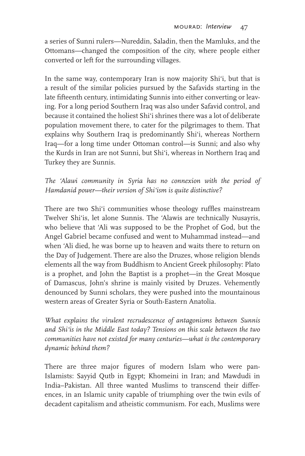a series of Sunni rulers—Nureddin, Saladin, then the Mamluks, and the Ottomans—changed the composition of the city, where people either converted or left for the surrounding villages.

In the same way, contemporary Iran is now majority Shi'i, but that is a result of the similar policies pursued by the Safavids starting in the late fifteenth century, intimidating Sunnis into either converting or leaving. For a long period Southern Iraq was also under Safavid control, and because it contained the holiest Shi'i shrines there was a lot of deliberate population movement there, to cater for the pilgrimages to them. That explains why Southern Iraq is predominantly Shi'i, whereas Northern Iraq—for a long time under Ottoman control—is Sunni; and also why the Kurds in Iran are not Sunni, but Shi'i, whereas in Northern Iraq and Turkey they are Sunnis.

*The 'Alawi community in Syria has no connexion with the period of Hamdanid power—their version of Shi'ism is quite distinctive?*

There are two Shi'i communities whose theology ruffles mainstream Twelver Shi'is, let alone Sunnis. The 'Alawis are technically Nusayris, who believe that 'Ali was supposed to be the Prophet of God, but the Angel Gabriel became confused and went to Muhammad instead—and when 'Ali died, he was borne up to heaven and waits there to return on the Day of Judgement. There are also the Druzes, whose religion blends elements all the way from Buddhism to Ancient Greek philosophy: Plato is a prophet, and John the Baptist is a prophet—in the Great Mosque of Damascus, John's shrine is mainly visited by Druzes. Vehemently denounced by Sunni scholars, they were pushed into the mountainous western areas of Greater Syria or South-Eastern Anatolia.

*What explains the virulent recrudescence of antagonisms between Sunnis and Shi'is in the Middle East today? Tensions on this scale between the two communities have not existed for many centuries—what is the contemporary dynamic behind them?*

There are three major figures of modern Islam who were pan-Islamists: Sayyid Qutb in Egypt; Khomeini in Iran; and Mawdudi in India–Pakistan. All three wanted Muslims to transcend their differences, in an Islamic unity capable of triumphing over the twin evils of decadent capitalism and atheistic communism. For each, Muslims were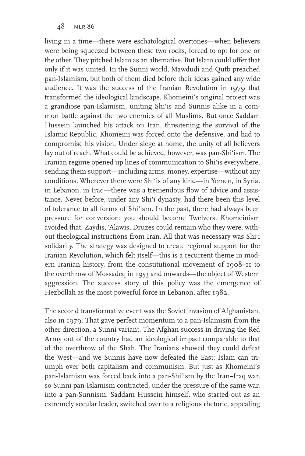living in a time—there were eschatological overtones—when believers were being squeezed between these two rocks, forced to opt for one or the other. They pitched Islam as an alternative. But Islam could offer that only if it was united. In the Sunni world, Mawdudi and Qutb preached pan-Islamism, but both of them died before their ideas gained any wide audience. It was the success of the Iranian Revolution in 1979 that transformed the ideological landscape. Khomeini's original project was a grandiose pan-Islamism, uniting Shi'is and Sunnis alike in a common battle against the two enemies of all Muslims. But once Saddam Hussein launched his attack on Iran, threatening the survival of the Islamic Republic, Khomeini was forced onto the defensive, and had to compromise his vision. Under siege at home, the unity of all believers lay out of reach. What could be achieved, however, was pan-Shi'ism. The Iranian regime opened up lines of communication to Shi'is everywhere, sending them support—including arms, money, expertise—without any conditions. Wherever there were Shi'is of any kind—in Yemen, in Syria, in Lebanon, in Iraq—there was a tremendous flow of advice and assistance. Never before, under any Shi'i dynasty, had there been this level of tolerance to all forms of Shi'ism. In the past, there had always been pressure for conversion: you should become Twelvers. Khomeinism avoided that. Zaydis, 'Alawis, Druzes could remain who they were, without theological instructions from Iran. All that was necessary was Shi'i solidarity. The strategy was designed to create regional support for the Iranian Revolution, which felt itself—this is a recurrent theme in modern Iranian history, from the constitutional movement of 1908–11 to the overthrow of Mossadeq in 1953 and onwards—the object of Western aggression. The success story of this policy was the emergence of Hezbollah as the most powerful force in Lebanon, after 1982.

The second transformative event was the Soviet invasion of Afghanistan, also in 1979. That gave perfect momentum to a pan-Islamism from the other direction, a Sunni variant. The Afghan success in driving the Red Army out of the country had an ideological impact comparable to that of the overthrow of the Shah. The Iranians showed they could defeat the West—and we Sunnis have now defeated the East: Islam can triumph over both capitalism and communism. But just as Khomeini's pan-Islamism was forced back into a pan-Shi'ism by the Iran–Iraq war, so Sunni pan-Islamism contracted, under the pressure of the same war, into a pan-Sunnism. Saddam Hussein himself, who started out as an extremely secular leader, switched over to a religious rhetoric, appealing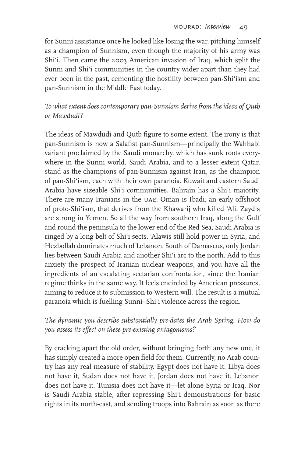for Sunni assistance once he looked like losing the war, pitching himself as a champion of Sunnism, even though the majority of his army was Shi'i. Then came the 2003 American invasion of Iraq, which split the Sunni and Shi'i communities in the country wider apart than they had ever been in the past, cementing the hostility between pan-Shi'ism and pan-Sunnism in the Middle East today.

### *To what extent does contemporary pan-Sunnism derive from the ideas of Qutb or Mawdudi?*

The ideas of Mawdudi and Qutb figure to some extent. The irony is that pan-Sunnism is now a Salafist pan-Sunnism—principally the Wahhabi variant proclaimed by the Saudi monarchy, which has sunk roots everywhere in the Sunni world. Saudi Arabia, and to a lesser extent Qatar, stand as the champions of pan-Sunnism against Iran, as the champion of pan-Shi'ism, each with their own paranoia. Kuwait and eastern Saudi Arabia have sizeable Shi'i communities. Bahrain has a Shi'i majority. There are many Iranians in the UAE. Oman is Ibadi, an early offshoot of proto-Shi'ism, that derives from the Khawarij who killed 'Ali. Zaydis are strong in Yemen. So all the way from southern Iraq, along the Gulf and round the peninsula to the lower end of the Red Sea, Saudi Arabia is ringed by a long belt of Shi'i sects. 'Alawis still hold power in Syria, and Hezbollah dominates much of Lebanon. South of Damascus, only Jordan lies between Saudi Arabia and another Shi'i arc to the north. Add to this anxiety the prospect of Iranian nuclear weapons, and you have all the ingredients of an escalating sectarian confrontation, since the Iranian regime thinks in the same way. It feels encircled by American pressures, aiming to reduce it to submission to Western will. The result is a mutual paranoia which is fuelling Sunni–Shi'i violence across the region.

# *The dynamic you describe substantially pre-dates the Arab Spring. How do you assess its effect on these pre-existing antagonisms?*

By cracking apart the old order, without bringing forth any new one, it has simply created a more open field for them. Currently, no Arab country has any real measure of stability. Egypt does not have it. Libya does not have it, Sudan does not have it, Jordan does not have it. Lebanon does not have it. Tunisia does not have it—let alone Syria or Iraq. Nor is Saudi Arabia stable, after repressing Shi'i demonstrations for basic rights in its north-east, and sending troops into Bahrain as soon as there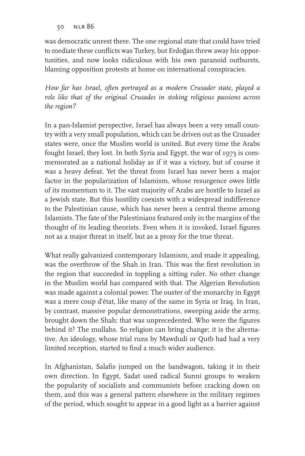was democratic unrest there. The one regional state that could have tried to mediate these conflicts was Turkey, but Erdoğan threw away his opportunities, and now looks ridiculous with his own paranoid outbursts, blaming opposition protests at home on international conspiracies.

*How far has Israel, often portrayed as a modern Crusader state, played a role like that of the original Crusades in stoking religious passions across the region?*

In a pan-Islamist perspective, Israel has always been a very small country with a very small population, which can be driven out as the Crusader states were, once the Muslim world is united. But every time the Arabs fought Israel, they lost. In both Syria and Egypt, the war of 1973 is commemorated as a national holiday as if it was a victory, but of course it was a heavy defeat. Yet the threat from Israel has never been a major factor in the popularization of Islamism, whose resurgence owes little of its momentum to it. The vast majority of Arabs are hostile to Israel as a Jewish state. But this hostility coexists with a widespread indifference to the Palestinian cause, which has never been a central theme among Islamists. The fate of the Palestinians featured only in the margins of the thought of its leading theorists. Even when it is invoked, Israel figures not as a major threat in itself, but as a proxy for the true threat.

What really galvanized contemporary Islamism, and made it appealing, was the overthrow of the Shah in Iran. This was the first revolution in the region that succeeded in toppling a sitting ruler. No other change in the Muslim world has compared with that. The Algerian Revolution was made against a colonial power. The ouster of the monarchy in Egypt was a mere coup d'état, like many of the same in Syria or Iraq. In Iran, by contrast, massive popular demonstrations, sweeping aside the army, brought down the Shah: that was unprecedented. Who were the figures behind it? The mullahs. So religion can bring change; it is the alternative. An ideology, whose trial runs by Mawdudi or Qutb had had a very limited reception, started to find a much wider audience.

In Afghanistan, Salafis jumped on the bandwagon, taking it in their own direction. In Egypt, Sadat used radical Sunni groups to weaken the popularity of socialists and communists before cracking down on them, and this was a general pattern elsewhere in the military regimes of the period, which sought to appear in a good light as a barrier against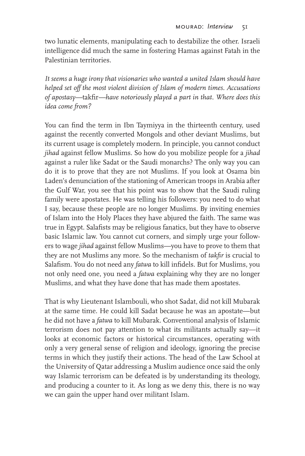two lunatic elements, manipulating each to destabilize the other. Israeli intelligence did much the same in fostering Hamas against Fatah in the Palestinian territories.

*It seems a huge irony that visionaries who wanted a united Islam should have helped set off the most violent division of Islam of modern times. Accusations of apostasy—*takfir*—have notoriously played a part in that. Where does this idea come from?*

You can find the term in Ibn Taymiyya in the thirteenth century, used against the recently converted Mongols and other deviant Muslims, but its current usage is completely modern. In principle, you cannot conduct *jihad* against fellow Muslims. So how do you mobilize people for a *jihad* against a ruler like Sadat or the Saudi monarchs? The only way you can do it is to prove that they are not Muslims. If you look at Osama bin Laden's denunciation of the stationing of American troops in Arabia after the Gulf War, you see that his point was to show that the Saudi ruling family were apostates. He was telling his followers: you need to do what I say, because these people are no longer Muslims. By inviting enemies of Islam into the Holy Places they have abjured the faith. The same was true in Egypt. Salafists may be religious fanatics, but they have to observe basic Islamic law. You cannot cut corners, and simply urge your followers to wage *jihad* against fellow Muslims—you have to prove to them that they are not Muslims any more. So the mechanism of *takfir* is crucial to Salafism. You do not need any *fatwa* to kill infidels. But for Muslims, you not only need one, you need a *fatwa* explaining why they are no longer Muslims, and what they have done that has made them apostates.

That is why Lieutenant Islambouli, who shot Sadat, did not kill Mubarak at the same time. He could kill Sadat because he was an apostate—but he did not have a *fatwa* to kill Mubarak. Conventional analysis of Islamic terrorism does not pay attention to what its militants actually say—it looks at economic factors or historical circumstances, operating with only a very general sense of religion and ideology, ignoring the precise terms in which they justify their actions. The head of the Law School at the University of Qatar addressing a Muslim audience once said the only way Islamic terrorism can be defeated is by understanding its theology, and producing a counter to it. As long as we deny this, there is no way we can gain the upper hand over militant Islam.